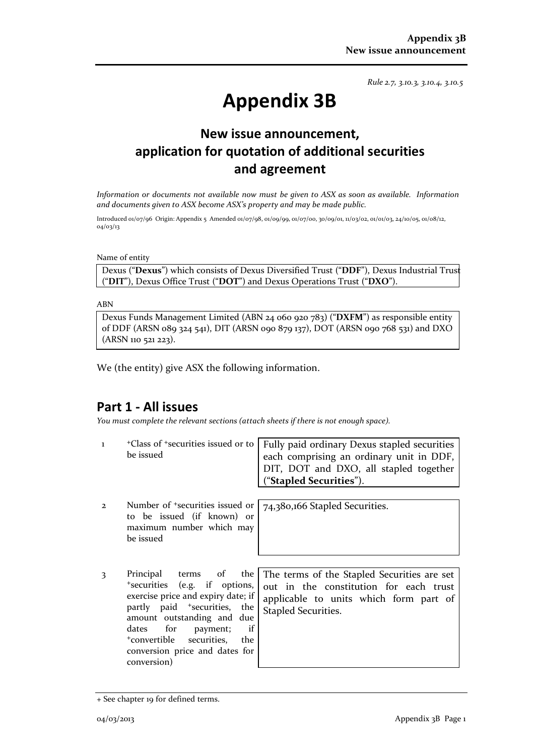*Rule 2.7, 3.10.3, 3.10.4, 3.10.5*

# **Appendix 3B**

# **New issue announcement, application for quotation of additional securities and agreement**

*Information or documents not available now must be given to ASX as soon as available. Information and documents given to ASX become ASX's property and may be made public.*

Introduced 01/07/96 Origin: Appendix 5 Amended 01/07/98, 01/09/99, 01/07/00, 30/09/01, 11/03/02, 01/01/03, 24/10/05, 01/08/12, 04/03/13

Name of entity

Dexus ("**Dexus**") which consists of Dexus Diversified Trust ("**DDF**"), Dexus Industrial Trust ("**DIT**"), Dexus Office Trust ("**DOT**") and Dexus Operations Trust ("**DXO**").

ABN

Dexus Funds Management Limited (ABN 24 060 920 783) ("**DXFM**") as responsible entity of DDF (ARSN 089 324 541), DIT (ARSN 090 879 137), DOT (ARSN 090 768 531) and DXO (ARSN 110 521 223).

We (the entity) give ASX the following information.

### **Part 1 - All issues**

*You must complete the relevant sections (attach sheets if there is not enough space).*

| $\mathbf{I}$ | <sup>+</sup> Class of <sup>+</sup> securities issued or to<br>be issued                                                                                                                                                                                                                          | Fully paid ordinary Dexus stapled securities<br>each comprising an ordinary unit in DDF,<br>DIT, DOT and DXO, all stapled together<br>("Stapled Securities"). |
|--------------|--------------------------------------------------------------------------------------------------------------------------------------------------------------------------------------------------------------------------------------------------------------------------------------------------|---------------------------------------------------------------------------------------------------------------------------------------------------------------|
| $\mathbf{2}$ | Number of <sup>+</sup> securities issued or<br>to be issued (if known) or<br>maximum number which may<br>be issued                                                                                                                                                                               | 74,380,166 Stapled Securities.                                                                                                                                |
| 3            | Principal terms of the<br>*securities (e.g. if options,<br>exercise price and expiry date; if<br>partly paid <sup>+</sup> securities, the<br>amount outstanding and due<br>dates for payment;<br>if<br><sup>+</sup> convertible securities, the<br>conversion price and dates for<br>conversion) | The terms of the Stapled Securities are set<br>out in the constitution for each trust<br>applicable to units which form part of<br>Stapled Securities.        |

<sup>+</sup> See chapter 19 for defined terms.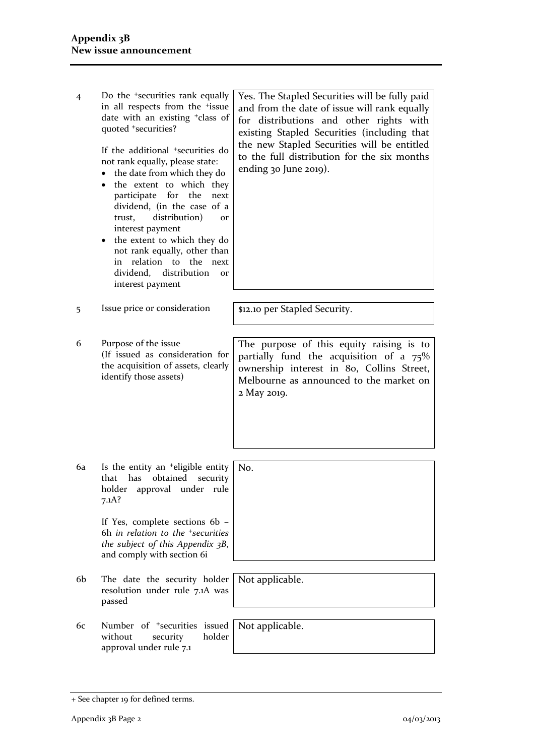4 Do the +securities rank equally in all respects from the +issue date with an existing +class of quoted +securities?

> If the additional +securities do not rank equally, please state:

- the date from which they do
- the extent to which they participate for the next dividend, (in the case of a trust, distribution) or interest payment
- the extent to which they do not rank equally, other than in relation to the next dividend, distribution or interest payment

Yes. The Stapled Securities will be fully paid and from the date of issue will rank equally for distributions and other rights with existing Stapled Securities (including that the new Stapled Securities will be entitled to the full distribution for the six months ending 30 June 2019).

5 Issue price or consideration | \$12.10 per Stapled Security.

6 Purpose of the issue (If issued as consideration for the acquisition of assets, clearly identify those assets)

6a Is the entity an +eligible entity that has obtained security holder approval under rule 7.1A? No.

> If Yes, complete sections 6b – 6h *in relation to the +securities the subject of this Appendix 3B*, and comply with section 6i

- 6b The date the security holder resolution under rule 7.1A was passed
- 6c Number of +securities issued without security holder approval under rule 7.1

Not applicable.

Not applicable.

The purpose of this equity raising is to partially fund the acquisition of a 75% ownership interest in 80, Collins Street, Melbourne as announced to the market on 2 May 2019.

<sup>+</sup> See chapter 19 for defined terms.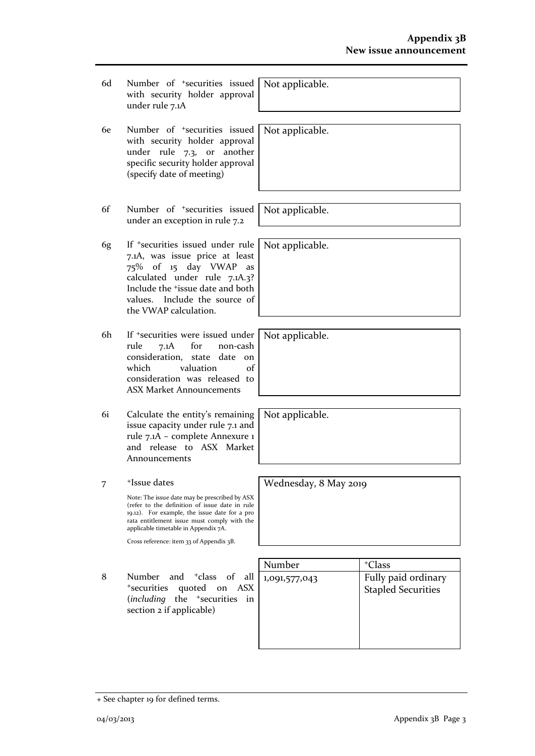- 6d Number of +securities issued with security holder approval under rule 7.1A
- 6e Number of +securities issued with security holder approval under rule 7.3, or another specific security holder approval (specify date of meeting)
- 6f Number of +securities issued under an exception in rule 7.2
- 6g If +securities issued under rule 7.1A, was issue price at least 75% of 15 day VWAP as calculated under rule 7.1A.3? Include the +issue date and both values. Include the source of the VWAP calculation.
- 6h If +securities were issued under rule 7.1A for non-cash consideration, state date on which valuation of consideration was released to ASX Market Announcements
- 6i Calculate the entity's remaining issue capacity under rule 7.1 and rule 7.1A – complete Annexure 1 and release to ASX Market Announcements
- 7 +Issue dates

Note: The issue date may be prescribed by ASX (refer to the definition of issue date in rule 19.12). For example, the issue date for a pro rata entitlement issue must comply with the applicable timetable in Appendix 7A.

Cross reference: item 33 of Appendix 3B.

8 Number and <sup>+</sup>class of all <sup>+</sup>securities quoted on ASX (*including* the <sup>+</sup>securities in section 2 if applicable)

| Number        | <sup>+</sup> Class                               |
|---------------|--------------------------------------------------|
| 1,091,577,043 | Fully paid ordinary<br><b>Stapled Securities</b> |

Not applicable.

Not applicable.

Not applicable.

Not applicable.

Not applicable.

Not applicable.

Wednesday, 8 May 2019

<sup>+</sup> See chapter 19 for defined terms.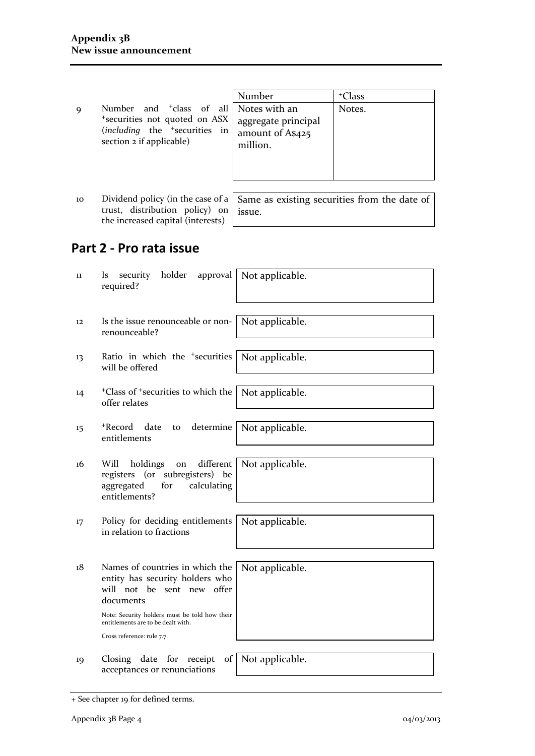9 Number and <sup>+</sup>class of al <sup>+</sup>securities not quoted on ASX (*including* the <sup>+</sup>securities in section 2 if applicable)

|    | Number              | <sup>+</sup> Class |
|----|---------------------|--------------------|
| 11 | Notes with an       | Notes.             |
| X  | aggregate principal |                    |
| n  | amount of A\$425    |                    |
|    | million.            |                    |
|    |                     |                    |
|    |                     |                    |
|    |                     |                    |

10 Dividend policy (in the case of a trust, distribution policy) on the increased capital (interests)

Same as existing securities from the date of issue.

# **Part 2 - Pro rata issue**

| 11                | holder<br>security<br>approval<br>ls<br>required?                                                                                                                                                       | Not applicable. |
|-------------------|---------------------------------------------------------------------------------------------------------------------------------------------------------------------------------------------------------|-----------------|
| $12 \overline{ }$ | Is the issue renounceable or non-<br>renounceable?                                                                                                                                                      | Not applicable. |
| 13                | Ratio in which the <sup>+</sup> securities<br>will be offered                                                                                                                                           | Not applicable. |
| 14                | <sup>+</sup> Class of <sup>+</sup> securities to which the<br>offer relates                                                                                                                             | Not applicable. |
| 15                | +Record<br>determine<br>date<br>to<br>entitlements                                                                                                                                                      | Not applicable. |
| 16                | Will<br>different<br>holdings<br>on<br>registers (or subregisters) be<br>calculating<br>aggregated<br>for<br>entitlements?                                                                              | Not applicable. |
| 17                | Policy for deciding entitlements<br>in relation to fractions                                                                                                                                            | Not applicable. |
| 18                | Names of countries in which the<br>entity has security holders who<br>will not be<br>sent new offer<br>documents<br>Note: Security holders must be told how their<br>entitlements are to be dealt with. | Not applicable. |
|                   | Cross reference: rule 7.7.                                                                                                                                                                              |                 |
| 19                | Closing date for<br>receipt<br>of<br>acceptances or renunciations                                                                                                                                       | Not applicable. |

<sup>+</sup> See chapter 19 for defined terms.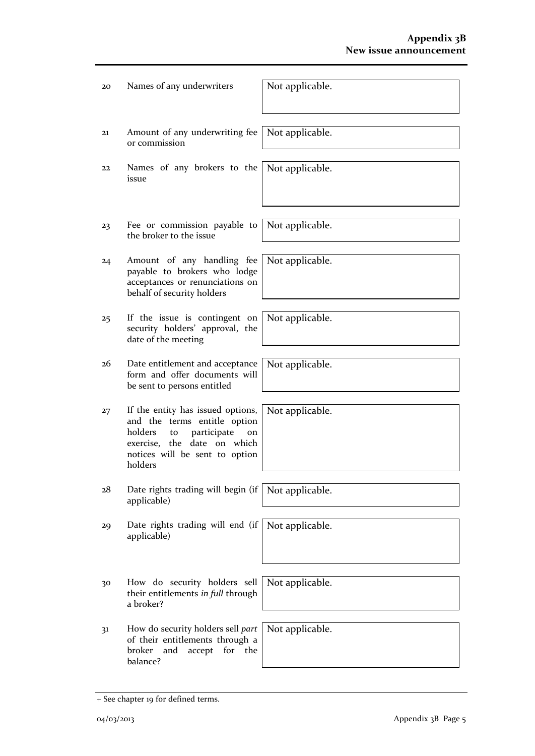| 20 | Names of any underwriters                                                                                                                                                           | Not applicable. |
|----|-------------------------------------------------------------------------------------------------------------------------------------------------------------------------------------|-----------------|
| 21 | Amount of any underwriting fee<br>or commission                                                                                                                                     | Not applicable. |
| 22 | Names of any brokers to the<br>issue                                                                                                                                                | Not applicable. |
| 23 | Fee or commission payable to<br>the broker to the issue                                                                                                                             | Not applicable. |
| 24 | Amount of any handling fee<br>payable to brokers who lodge<br>acceptances or renunciations on<br>behalf of security holders                                                         | Not applicable. |
| 25 | If the issue is contingent on<br>security holders' approval, the<br>date of the meeting                                                                                             | Not applicable. |
| 26 | Date entitlement and acceptance<br>form and offer documents will<br>be sent to persons entitled                                                                                     | Not applicable. |
| 27 | If the entity has issued options,<br>and the terms entitle option<br>holders<br>participate<br>to<br>on<br>exercise, the date on which<br>notices will be sent to option<br>holders | Not applicable. |
| 28 | Date rights trading will begin (if<br>applicable)                                                                                                                                   | Not applicable. |
| 29 | Date rights trading will end (if<br>applicable)                                                                                                                                     | Not applicable. |
| 30 | How do security holders sell<br>their entitlements in full through<br>a broker?                                                                                                     | Not applicable. |
| 31 | How do security holders sell part<br>of their entitlements through a<br>broker<br>and<br>accept<br>for<br>the<br>balance?                                                           | Not applicable. |

<sup>+</sup> See chapter 19 for defined terms.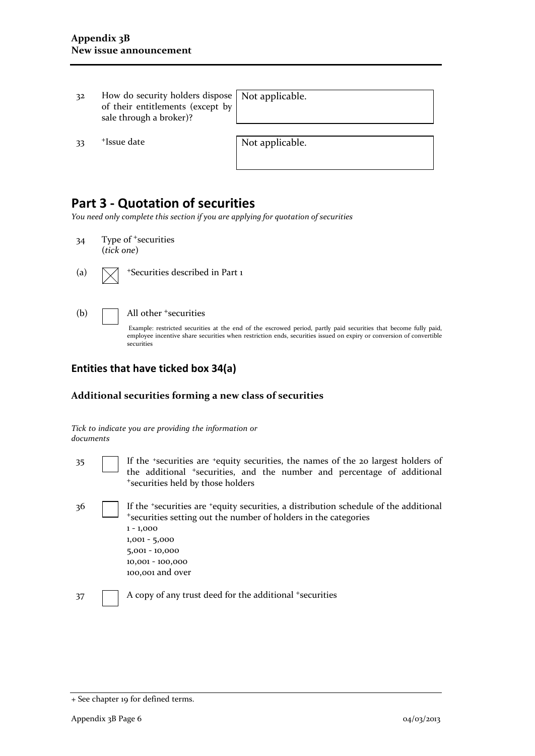32 How do security holders dispose of their entitlements (except by sale through a broker)?

Not applicable.

33 <sup>+</sup>Issue date Not applicable.

# **Part 3 - Quotation of securities**

*You need only complete this section if you are applying for quotation of securities*

- 34 Type of <sup>+</sup>securities (*tick one*)
- (a)  $\sqrt{\phantom{a}}$  +Securities described in Part 1
- 

#### (b)  $\Box$  All other  $\overline{\phantom{a}}$  securities

Example: restricted securities at the end of the escrowed period, partly paid securities that become fully paid, employee incentive share securities when restriction ends, securities issued on expiry or conversion of convertible securities

#### **Entities that have ticked box 34(a)**

#### **Additional securities forming a new class of securities**

*Tick to indicate you are providing the information or documents*

- 35 If the +securities are +equity securities, the names of the 20 largest holders of the additional +securities, and the number and percentage of additional <sup>+</sup>securities held by those holders
- 36 If the <sup>+</sup>securities are <sup>+</sup>equity securities, a distribution schedule of the additional <sup>+</sup>securities setting out the number of holders in the categories 1 - 1,000 1,001 - 5,000 5,001 - 10,000 10,001 - 100,000 100,001 and over
- 37 A copy of any trust deed for the additional +securities

<sup>+</sup> See chapter 19 for defined terms.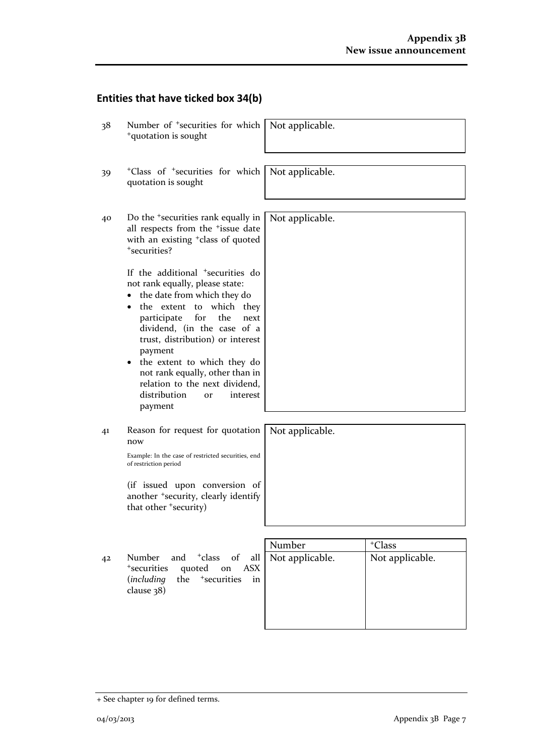# **Entities that have ticked box 34(b)**

| 38             | Number of <sup>+</sup> securities for which<br><sup>+</sup> quotation is sought                                                                                                                                                                                                                                                                                                                                             | Not applicable. |                    |
|----------------|-----------------------------------------------------------------------------------------------------------------------------------------------------------------------------------------------------------------------------------------------------------------------------------------------------------------------------------------------------------------------------------------------------------------------------|-----------------|--------------------|
| 39             | <sup>+</sup> Class of <sup>+</sup> securities for which<br>quotation is sought                                                                                                                                                                                                                                                                                                                                              | Not applicable. |                    |
| 40             | Do the <sup>+</sup> securities rank equally in<br>all respects from the <sup>+</sup> issue date<br>with an existing <sup>+</sup> class of quoted<br>*securities?                                                                                                                                                                                                                                                            | Not applicable. |                    |
|                | If the additional <sup>+</sup> securities do<br>not rank equally, please state:<br>the date from which they do<br>$\bullet$<br>the extent to which they<br>for<br>the<br>participate<br>next<br>dividend, (in the case of a<br>trust, distribution) or interest<br>payment<br>the extent to which they do<br>not rank equally, other than in<br>relation to the next dividend,<br>distribution<br>interest<br>or<br>payment |                 |                    |
| 41             | Reason for request for quotation<br>now<br>Example: In the case of restricted securities, end<br>of restriction period                                                                                                                                                                                                                                                                                                      | Not applicable. |                    |
|                | (if issued upon conversion of<br>another <sup>+</sup> security, clearly identify<br>that other 'security)                                                                                                                                                                                                                                                                                                                   |                 |                    |
|                |                                                                                                                                                                                                                                                                                                                                                                                                                             | Number          | <sup>+</sup> Class |
| 4 <sup>2</sup> | <sup>+</sup> class<br>of<br>Number<br>and<br>all<br><sup>+</sup> securities<br>quoted<br>on<br><b>ASX</b><br><sup>+</sup> securities<br>the<br><i>(including</i><br>in<br>clause 38)                                                                                                                                                                                                                                        | Not applicable. | Not applicable.    |

<sup>+</sup> See chapter 19 for defined terms.